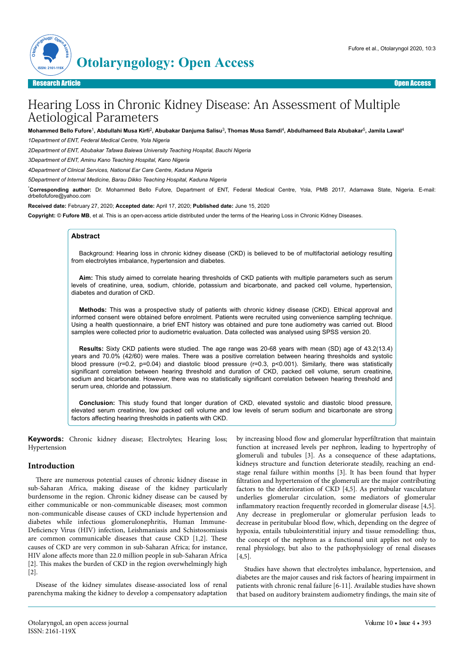

# Hearing Loss in Chronic Kidney Disease: An Assessment of Multiple Aetiological Parameters

#### Mohammed Bello Fufore<sup>1</sup>, Abdullahi Musa Kirfi<sup>2</sup>, Abubakar Danjuma Salisu<sup>3</sup>, Thomas Musa Samdi<sup>4</sup>, Abdulhameed Bala Abubakar<sup>5</sup>, Jamila Lawal<sup>4</sup>

*1Department of ENT, Federal Medical Centre, Yola Nigeria*

*2Department of ENT, Abubakar Tafawa Balewa University Teaching Hospital, Bauchi Nigeria*

*3Department of ENT, Aminu Kano Teaching Hospital, Kano Nigeria*

*4Department of Clinical Services, National Ear Care Centre, Kaduna Nigeria*

*5Department of Internal Medicine, Barau Dikko Teaching Hospital, Kaduna Nigeria*

\***Corresponding author:** Dr. Mohammed Bello Fufore, Department of ENT, Federal Medical Centre, Yola, PMB 2017, Adamawa State, Nigeria. E-mail: drbellofufore@yahoo.com

**Received date:** February 27, 2020; **Accepted date:** April 17, 2020; **Published date:** June 15, 2020

**Copyright:** © **Fufore MB**, et al. This is an open-access article distributed under the terms of the Hearing Loss in Chronic Kidney Diseases.

### **Abstract**

Background: Hearing loss in chronic kidney disease (CKD) is believed to be of multifactorial aetiology resulting from electrolytes imbalance, hypertension and diabetes.

**Aim:** This study aimed to correlate hearing thresholds of CKD patients with multiple parameters such as serum levels of creatinine, urea, sodium, chloride, potassium and bicarbonate, and packed cell volume, hypertension, diabetes and duration of CKD.

**Methods:** This was a prospective study of patients with chronic kidney disease (CKD). Ethical approval and informed consent were obtained before enrolment. Patients were recruited using convenience sampling technique. Using a health questionnaire, a brief ENT history was obtained and pure tone audiometry was carried out. Blood samples were collected prior to audiometric evaluation. Data collected was analysed using SPSS version 20.

**Results:** Sixty CKD patients were studied. The age range was 20-68 years with mean (SD) age of 43.2(13.4) years and 70.0% (42/60) were males. There was a positive correlation between hearing thresholds and systolic blood pressure (r=0.2, p=0.04) and diastolic blood pressure (r=0.3, p<0.001). Similarly, there was statistically significant correlation between hearing threshold and duration of CKD, packed cell volume, serum creatinine, sodium and bicarbonate. However, there was no statistically significant correlation between hearing threshold and serum urea, chloride and potassium.

**Conclusion:** This study found that longer duration of CKD, elevated systolic and diastolic blood pressure, elevated serum creatinine, low packed cell volume and low levels of serum sodium and bicarbonate are strong factors affecting hearing thresholds in patients with CKD.

**Keywords:** Chronic kidney disease; Electrolytes; Hearing loss; Hypertension

#### **Introduction**

There are numerous potential causes of chronic kidney disease in sub-Saharan Africa, making disease of the kidney particularly burdensome in the region. Chronic kidney disease can be caused by either communicable or non-communicable diseases; most common non-communicable disease causes of CKD include hypertension and diabetes while infectious glomerulonephritis, Human Immune-Deficiency Virus (HIV) infection, Leishmaniasis and Schistosomiasis are common communicable diseases that cause CKD [1,2]. These causes of CKD are very common in sub-Saharan Africa; for instance, HIV alone affects more than 22.0 million people in sub-Saharan Africa [2]. This makes the burden of CKD in the region overwhelmingly high [2].

Disease of the kidney simulates disease-associated loss of renal parenchyma making the kidney to develop a compensatory adaptation by increasing blood flow and glomerular hyperfiltration that maintain function at increased levels per nephron, leading to hypertrophy of glomeruli and tubules [3]. As a consequence of these adaptations, kidneys structure and function deteriorate steadily, reaching an endstage renal failure within months [3]. It has been found that hyper filtration and hypertension of the glomeruli are the major contributing factors to the deterioration of CKD [4,5]. As peritubular vasculature underlies glomerular circulation, some mediators of glomerular inflammatory reaction frequently recorded in glomerular disease [4,5]. Any decrease in preglomerular or glomerular perfusion leads to decrease in peritubular blood flow, which, depending on the degree of hypoxia, entails tubulointerstitial injury and tissue remodelling: thus, the concept of the nephron as a functional unit applies not only to renal physiology, but also to the pathophysiology of renal diseases [4,5].

Studies have shown that electrolytes imbalance, hypertension, and diabetes are the major causes and risk factors of hearing impairment in patients with chronic renal failure [6-11]. Available studies have shown that based on auditory brainstem audiometry findings, the main site of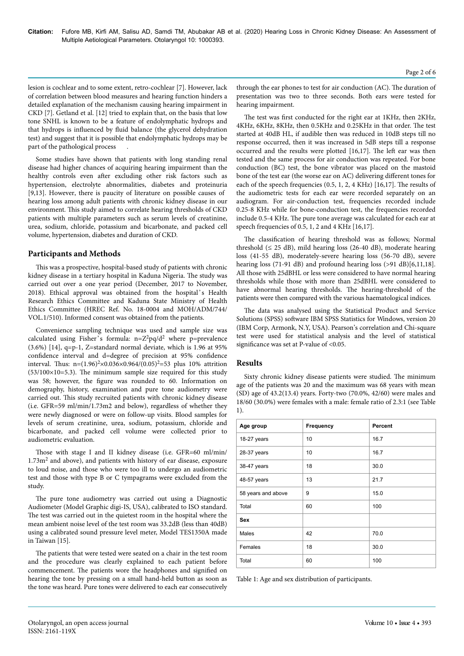lesion is cochlear and to some extent, retro-cochlear [7]. However, lack of correlation between blood measures and hearing function hinders a detailed explanation of the mechanism causing hearing impairment in CKD [7]. Getland et al. [12] tried to explain that, on the basis that low tone SNHL is known to be a feature of endolymphatic hydrops and that hydrops is influenced by fluid balance (the glycerol dehydration test) and suggest that it is possible that endolymphatic hydrops may be part of the pathological process

Some studies have shown that patients with long standing renal disease had higher chances of acquiring hearing impairment than the healthy controls even after excluding other risk factors such as hypertension, electrolyte abnormalities, diabetes and proteinuria [9,13]. However, there is paucity of literature on possible causes of hearing loss among adult patients with chronic kidney disease in our environment. This study aimed to correlate hearing thresholds of CKD patients with multiple parameters such as serum levels of creatinine, urea, sodium, chloride, potassium and bicarbonate, and packed cell volume, hypertension, diabetes and duration of CKD.

## **Participants and Methods**

This was a prospective, hospital-based study of patients with chronic kidney disease in a tertiary hospital in Kaduna Nigeria. The study was carried out over a one year period (December, 2017 to November, 2018). Ethical approval was obtained from the hospital's Health Research Ethics Committee and Kaduna State Ministry of Health Ethics Committee (HREC Ref. No. 18-0004 and MOH/ADM/744/ VOL.1/510). Informed consent was obtained from the patients.

Convenience sampling technique was used and sample size was calculated using Fisher's formula:  $n=Z^2pq/d^2$  where p=prevalence  $(3.6\%)$  [14], q=p-1, Z=standard normal deviate, which is 1.96 at 95% confidence interval and d=degree of precision at 95% confidence interval. Thus:  $n=(1.96)^{2} \times 0.036 \times 0.964/(0.05)^{2}=53$  plus 10% attrition  $(53/100\times10=5.3)$ . The minimum sample size required for this study was 58; however, the figure was rounded to 60. Information on demography, history, examination and pure tone audiometry were carried out. This study recruited patients with chronic kidney disease (i.e. GFR=59 ml/min/1.73m2 and below), regardless of whether they were newly diagnosed or were on follow-up visits. Blood samples for levels of serum creatinine, urea, sodium, potassium, chloride and bicarbonate, and packed cell volume were collected prior to audiometric evaluation.

Those with stage I and II kidney disease (i.e. GFR=60 ml/min/ 1.73m<sup>2</sup> and above), and patients with history of ear disease, exposure to loud noise, and those who were too ill to undergo an audiometric test and those with type B or C tympagrams were excluded from the study.

The pure tone audiometry was carried out using a Diagnostic Audiometer (Model Graphic digi-IS, USA), calibrated to ISO standard. The test was carried out in the quietest room in the hospital where the mean ambient noise level of the test room was 33.2dB (less than 40dB) using a calibrated sound pressure level meter, Model TES1350A made in Taiwan [15].

The patients that were tested were seated on a chair in the test room and the procedure was clearly explained to each patient before commencement. The patients wore the headphones and signified on hearing the tone by pressing on a small hand-held button as soon as the tone was heard. Pure tones were delivered to each ear consecutively

The test was first conducted for the right ear at 1KHz, then 2KHz, 4KHz, 6KHz, 8KHz, then 0.5KHz and 0.25KHz in that order. The test started at 40dB HL, if audible then was reduced in 10dB steps till no response occurred, then it was increased in 5dB steps till a response occurred and the results were plotted  $[16,17]$ . The left ear was then tested and the same process for air conduction was repeated. For bone conduction (BC) test, the bone vibrator was placed on the mastoid bone of the test ear (the worse ear on AC) delivering different tones for each of the speech frequencies (0.5, 1, 2, 4 KHz) [16,17]. The results of the audiometric tests for each ear were recorded separately on an audiogram. For air-conduction test, frequencies recorded include 0.25-8 KHz while for bone-conduction test, the frequencies recorded include 0.5-4 KHz. The pure tone average was calculated for each ear at speech frequencies of 0.5, 1, 2 and 4 KHz [16,17].

The classification of hearing threshold was as follows; Normal threshold  $(\leq 25$  dB), mild hearing loss (26-40 dB), moderate hearing loss (41-55 dB), moderately-severe hearing loss (56-70 dB), severe hearing loss (71-91 dB) and profound hearing loss (>91 dB)[6,11,18]. All those with 25dBHL or less were considered to have normal hearing thresholds while those with more than 25dBHL were considered to have abnormal hearing thresholds. The hearing-threshold of the patients were then compared with the various haematological indices.

The data was analysed using the Statistical Product and Service Solutions (SPSS) software IBM SPSS Statistics for Windows, version 20 (IBM Corp, Armonk, N.Y, USA). Pearson's correlation and Chi-square test were used for statistical analysis and the level of statistical significance was set at P-value of <0.05.

# **Results**

Sixty chronic kidney disease patients were studied. The minimum age of the patients was 20 and the maximum was 68 years with mean (SD) age of 43.2(13.4) years. Forty-two (70.0%, 42/60) were males and 18/60 (30.0%) were females with a male: female ratio of 2.3:1 (see Table 1).

| Age group          | Frequency | Percent |
|--------------------|-----------|---------|
| 18-27 years        | 10        | 16.7    |
| 28-37 years        | 10        | 16.7    |
| 38-47 years        | 18        | 30.0    |
| 48-57 years        | 13        | 21.7    |
| 58 years and above | 9         | 15.0    |
| Total              | 60        | 100     |
| <b>Sex</b>         |           |         |
| <b>Males</b>       | 42        | 70.0    |
| Females            | 18        | 30.0    |
| Total              | 60        | 100     |

Table 1: Age and sex distribution of participants.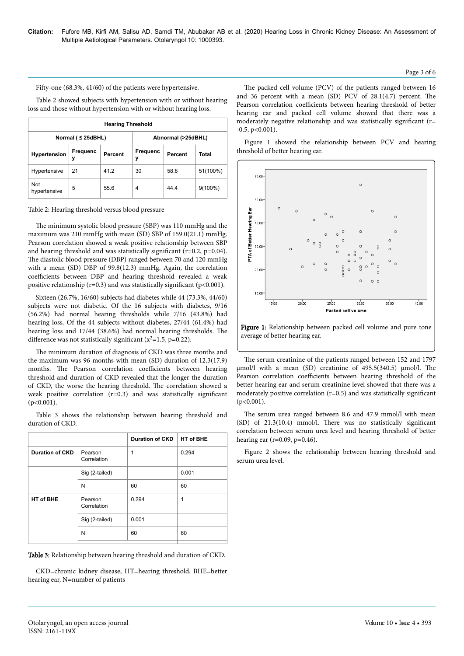Fifty-one (68.3%, 41/60) of the patients were hypertensive.

Table 2 showed subjects with hypertension with or without hearing loss and those without hypertension with or without hearing loss.

| <b>Hearing Threshold</b> |               |                         |               |                    |            |  |  |  |
|--------------------------|---------------|-------------------------|---------------|--------------------|------------|--|--|--|
|                          |               | Normal ( $\leq$ 25dBHL) |               | Abnormal (>25dBHL) |            |  |  |  |
| <b>Hypertension</b>      | Frequenc<br>у | Percent                 | Frequenc<br>у | Percent            | Total      |  |  |  |
| Hypertensive             | 21            | 41.2                    | 30            | 58.8               | 51(100%)   |  |  |  |
| Not<br>hypertensive      | 5             | 55.6                    | 4             | 44.4               | $9(100\%)$ |  |  |  |

Table 2: Hearing threshold versus blood pressure

The minimum systolic blood pressure (SBP) was 110 mmHg and the maximum was 210 mmHg with mean (SD) SBP of 159.0(21.1) mmHg. Pearson correlation showed a weak positive relationship between SBP and hearing threshold and was statistically significant (r=0.2, p=0.04). The diastolic blood pressure (DBP) ranged between 70 and 120 mmHg with a mean (SD) DBP of 99.8(12.3) mmHg. Again, the correlation coefficients between DBP and hearing threshold revealed a weak positive relationship ( $r=0.3$ ) and was statistically significant ( $p<0.001$ ).

Sixteen (26.7%, 16/60) subjects had diabetes while 44 (73.3%, 44/60) subjects were not diabetic. Of the 16 subjects with diabetes, 9/16 (56.2%) had normal hearing thresholds while 7/16 (43.8%) had hearing loss. Of the 44 subjects without diabetes, 27/44 (61.4%) had hearing loss and 17/44 (38.6%) had normal hearing thresholds. The difference was not statistically significant ( $x^2$ =1.5, p=0.22).

The minimum duration of diagnosis of CKD was three months and the maximum was 96 months with mean (SD) duration of 12.3(17.9) months. The Pearson correlation coefficients between hearing threshold and duration of CKD revealed that the longer the duration of CKD, the worse the hearing threshold. The correlation showed a weak positive correlation (r=0.3) and was statistically significant  $(p<0.001)$ .

Table 3 shows the relationship between hearing threshold and duration of CKD.

|                        |                        | <b>Duration of CKD</b> | HT of BHE |
|------------------------|------------------------|------------------------|-----------|
| <b>Duration of CKD</b> | Pearson<br>Correlation | 1                      | 0.294     |
|                        | Sig (2-tailed)         |                        | 0.001     |
|                        | N                      | 60                     | 60        |
| HT of BHE              | Pearson<br>Correlation | 0.294                  | 1         |
|                        | Sig (2-tailed)         | 0.001                  |           |
|                        | N                      | 60                     | 60        |
|                        |                        |                        |           |

Table 3: Relationship between hearing threshold and duration of CKD.

CKD=chronic kidney disease, HT=hearing threshold, BHE=better hearing ear, N=number of patients

The packed cell volume (PCV) of the patients ranged between 16 and 36 percent with a mean (SD) PCV of 28.1(4.7) percent. The Pearson correlation coefficients between hearing threshold of better hearing ear and packed cell volume showed that there was a moderately negative relationship and was statistically significant (r=  $-0.5$ ,  $p<0.001$ ).

Figure 1 showed the relationship between PCV and hearing threshold of better hearing ear.



Figure 1: Relationship between packed cell volume and pure tone average of better hearing ear.

The serum creatinine of the patients ranged between 152 and 1797 µmol/l with a mean (SD) creatinine of 495.5(340.5) µmol/l. The Pearson correlation coefficients between hearing threshold of the better hearing ear and serum creatinine level showed that there was a moderately positive correlation  $(r=0.5)$  and was statistically significant  $(p<0.001)$ .

The serum urea ranged between 8.6 and 47.9 mmol/l with mean (SD) of 21.3(10.4) mmol/l. There was no statistically significant correlation between serum urea level and hearing threshold of better hearing ear ( $r=0.09$ ,  $p=0.46$ ).

Figure 2 shows the relationship between hearing threshold and serum urea level.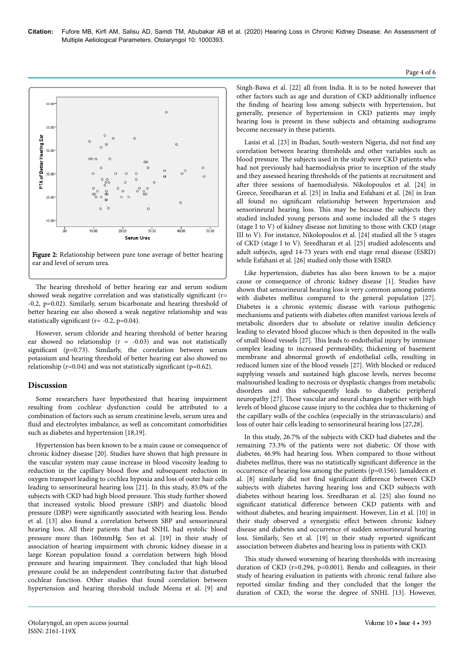

Figure 2: Relationship between pure tone average of better hearing ear and level of serum urea.

The hearing threshold of better hearing ear and serum sodium showed weak negative correlation and was statistically significant (r= -0.2, p=0.02). Similarly, serum bicarbonate and hearing threshold of better hearing ear also showed a weak negative relationship and was statistically significant ( $r = -0.2$ ,  $p=0.04$ ).

However, serum chloride and hearing threshold of better hearing ear showed no relationship ( $r = -0.03$ ) and was not statistically significant (p=0.73). Similarly, the correlation between serum potassium and hearing threshold of better hearing ear also showed no relationship ( $r=0.04$ ) and was not statistically significant ( $p=0.62$ ).

# **Discussion**

Some researchers have hypothesized that hearing impairment resulting from cochlear dysfunction could be attributed to a combination of factors such as serum creatinine levels, serum urea and fluid and electrolytes imbalance, as well as concomitant comorbidities such as diabetes and hypertension [18,19].

Hypertension has been known to be a main cause or consequence of chronic kidney disease [20]. Studies have shown that high pressure in the vascular system may cause increase in blood viscosity leading to reduction in the capillary blood flow and subsequent reduction in oxygen transport leading to cochlea hypoxia and loss of outer hair cells leading to sensorineural hearing loss [21]. In this study, 85.0% of the subjects with CKD had high blood pressure. This study further showed that increased systolic blood pressure (SBP) and diastolic blood pressure (DBP) were significantly associated with hearing loss. Bendo et al. [13] also found a correlation between SBP and sensorineural hearing loss. All their patients that had SNHL had systolic blood pressure more than 160mmHg. Seo et al. [19] in their study of association of hearing impairment with chronic kidney disease in a large Korean population found a correlation between high blood pressure and hearing impairment. They concluded that high blood pressure could be an independent contributing factor that disturbed cochlear function. Other studies that found correlation between hypertension and hearing threshold include Meena et al. [9] and

Singh-Bawa et al. [22] all from India. It is to be noted however that other factors such as age and duration of CKD additionally influence the finding of hearing loss among subjects with hypertension, but generally, presence of hypertension in CKD patients may imply hearing loss is present in these subjects and obtaining audiograms become necessary in these patients.

Lasisi et al. [23] in Ibadan, South-western Nigeria, did not find any correlation between hearing thresholds and other variables such as blood pressure. The subjects used in the study were CKD patients who had not previously had haemodialysis prior to inception of the study and they assessed hearing thresholds of the patients at recruitment and after three sessions of haemodialysis. Nikolopoulos et al. [24] in Greece, Sreedharan et al. [25] in India and Esfahani et al. [26] in Iran all found no significant relationship between hypertension and sensorineural hearing loss. This may be because the subjects they studied included young persons and some included all the 5 stages (stage I to V) of kidney disease not limiting to those with CKD (stage III to V). For instance, Nikolopoulos et al. [24] studied all the 5 stages of CKD (stage I to V). Sreedharan et al. [25] studied adolescents and adult subjects, aged 14-73 years with end stage renal disease (ESRD) while Esfahani et al. [26] studied only those with ESRD.

Like hypertension, diabetes has also been known to be a major cause or consequence of chronic kidney disease [1]. Studies have shown that sensorineural hearing loss is very common among patients with diabetes mellitus compared to the general population [27]. Diabetes is a chronic systemic disease with various pathogenic mechanisms and patients with diabetes often manifest various levels of metabolic disorders due to absolute or relative insulin deficiency leading to elevated blood glucose which is then deposited in the walls of small blood vessels [27]. This leads to endothelial injury by immune complex leading to increased permeability, thickening of basement membrane and abnormal growth of endothelial cells, resulting in reduced lumen size of the blood vessels [27]. With blocked or reduced supplying vessels and sustained high glucose levels, nerves become malnourished leading to necrosis or dysplastic changes from metabolic disorders and this subsequently leads to diabetic peripheral neuropathy [27]. These vascular and neural changes together with high levels of blood glucose cause injury to the cochlea due to thickening of the capillary walls of the cochlea (especially in the striavascularis) and loss of outer hair cells leading to sensorineural hearing loss [27,28].

In this study, 26.7% of the subjects with CKD had diabetes and the remaining 73.3% of the patients were not diabetic. Of those with diabetes, 46.9% had hearing loss. When compared to those without diabetes mellitus, there was no statistically significant difference in the occurrence of hearing loss among the patients (p=0.156). Jamaldeen et al. [8] similarly did not find significant difference between CKD subjects with diabetes having hearing loss and CKD subjects with diabetes without hearing loss. Sreedharan et al. [25] also found no significant statistical difference between CKD patients with and without diabetes, and hearing impairment. However, Lin et al. [10] in their study observed a synergistic effect between chronic kidney disease and diabetes and occurrence of sudden sensorineural hearing loss. Similarly, Seo et al. [19] in their study reported significant association between diabetes and hearing loss in patients with CKD.

This study showed worsening of hearing thresholds with increasing duration of CKD (r=0.294, p=0.001). Bendo and colleagues, in their study of hearing evaluation in patients with chronic renal failure also reported similar finding and they concluded that the longer the duration of CKD, the worse the degree of SNHL [13]. However,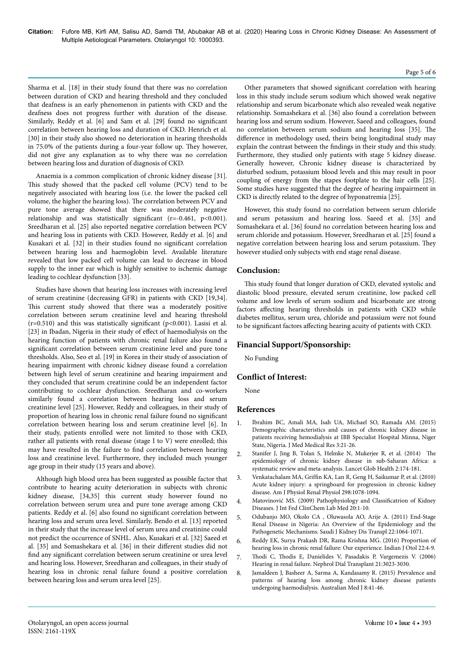## Sharma et al. [18] in their study found that there was no correlation between duration of CKD and hearing threshold and they concluded that deafness is an early phenomenon in patients with CKD and the deafness does not progress further with duration of the disease. Similarly, Reddy et al. [6] and Sam et al. [29] found no significant correlation between hearing loss and duration of CKD. Henrich et al. [30] in their study also showed no deterioration in hearing thresholds in 75.0% of the patients during a four-year follow up. They however, did not give any explanation as to why there was no correlation between hearing loss and duration of diagnosis of CKD.

Anaemia is a common complication of chronic kidney disease [31]. This study showed that the packed cell volume (PCV) tend to be negatively associated with hearing loss (i.e. the lower the packed cell volume, the higher the hearing loss). The correlation between PCV and pure tone average showed that there was moderately negative relationship and was statistically significant  $(r=0.461, p<0.001)$ . Sreedharan et al. [25] also reported negative correlation between PCV and hearing loss in patients with CKD. However, Reddy et al. [6] and Kusakari et al. [32] in their studies found no significant correlation between hearing loss and haemoglobin level. Available literature revealed that low packed cell volume can lead to decrease in blood supply to the inner ear which is highly sensitive to ischemic damage leading to cochlear dysfunction [33].

Studies have shown that hearing loss increases with increasing level of serum creatinine (decreasing GFR) in patients with CKD [19,34]. This current study showed that there was a moderately positive correlation between serum creatinine level and hearing threshold  $(r=0.510)$  and this was statistically significant (p<0.001). Lasisi et al. [23] in Ibadan, Nigeria in their study of effect of haemodialysis on the hearing function of patients with chronic renal failure also found a significant correlation between serum creatinine level and pure tone thresholds. Also, Seo et al. [19] in Korea in their study of association of hearing impairment with chronic kidney disease found a correlation between high level of serum creatinine and hearing impairment and they concluded that serum creatinine could be an independent factor contributing to cochlear dysfunction. Sreedharan and co-workers similarly found a correlation between hearing loss and serum creatinine level [25]. However, Reddy and colleagues, in their study of proportion of hearing loss in chronic renal failure found no significant correlation between hearing loss and serum creatinine level [6]. In their study, patients enrolled were not limited to those with CKD, rather all patients with renal disease (stage I to V) were enrolled; this may have resulted in the failure to find correlation between hearing loss and creatinine level. Furthermore, they included much younger age group in their study (15 years and above).

Although high blood urea has been suggested as possible factor that contribute to hearing acuity deterioration in subjects with chronic kidney disease, [34,35] this current study however found no correlation between serum urea and pure tone average among CKD patients. Reddy et al. [6] also found no significant correlation between hearing loss and serum urea level. Similarly, Bendo et al. [13] reported in their study that the increase level of serum urea and creatinine could not predict the occurrence of SNHL. Also, Kusakari et al. [32] Saeed et al. [35] and Somashekara et al. [36] in their different studies did not find any significant correlation between serum creatinine or urea level and hearing loss. However, Sreedharan and colleagues, in their study of hearing loss in chronic renal failure found a positive correlation between hearing loss and serum urea level [25].

## Other parameters that showed significant correlation with hearing loss in this study include serum sodium which showed weak negative relationship and serum bicarbonate which also revealed weak negative relationship. Somashekara et al. [36] also found a correlation between hearing loss and serum sodium. However, Saeed and colleagues, found no correlation between serum sodium and hearing loss [35]. The difference in methodology used, theirs being longitudinal study may explain the contrast between the findings in their study and this study. Furthermore, they studied only patients with stage 5 kidney disease. Generally however, Chronic kidney disease is characterized by disturbed sodium, potassium blood levels and this may result in poor coupling of energy from the stapes footplate to the hair cells [25]. Some studies have suggested that the degree of hearing impairment in CKD is directly related to the degree of hyponatremia [25].

However, this study found no correlation between serum chloride and serum potassium and hearing loss. Saeed et al. [35] and Somashekara et al. [36] found no correlation between hearing loss and serum chloride and potassium. However, Sreedharan et al. [25] found a negative correlation between hearing loss and serum potassium. They however studied only subjects with end stage renal disease.

# **Conclusion:**

This study found that longer duration of CKD, elevated systolic and diastolic blood pressure, elevated serum creatinine, low packed cell volume and low levels of serum sodium and bicarbonate are strong factors affecting hearing thresholds in patients with CKD while diabetes mellitus, serum urea, chloride and potassium were not found to be significant factors affecting hearing acuity of patients with CKD.

# **Financial Support/Sponsorship:**

No Funding

# **Conflict of Interest:**

None

# **References**

- 1. Ibrahim BC, Amali MA, Isah UA, Michael SO, Ramada AM. (2015) Demographic characteristics and causes of chronic kidney disease in patients receiving hemodialysis at IBB Specialist Hospital Minna, Niger State, Nigeria. J Med Medical Res 3:21-26.
- 2. [Stanifer J, Jing B, Tolan S, Helmke N, Mukerjee R, et al. \(2014\) The](https://doi.org/10.1016/S2214-109X(14)70002-6) [epidemiology of chronic kidney disease in sub-Saharan Africa: a](https://doi.org/10.1016/S2214-109X(14)70002-6) [systematic review and meta-analysis. Lancet Glob Health 2:174-181.](https://doi.org/10.1016/S2214-109X(14)70002-6)
- 3. [Venkatachalam MA, Griffin KA, Lan R, Geng H, Saikumar P, et al. \(2010\)](https://doi.org/10.1152/ajprenal.00017.2010) [Acute kidney injury: a springboard for progression in chronic kidney](https://doi.org/10.1152/ajprenal.00017.2010) [disease. Am J Physiol Renal Physiol 298:1078-1094.](https://doi.org/10.1152/ajprenal.00017.2010)
- 4. Matovinović MS. (2009) Pathophysiology and Classificatrion of Kidney Diseases. J Int Fed ClinChem Lab Med 20:1-10.
- 5. Odubanjo MO, Okolo CA , Oluwasola AO, Arije A. (2011) End-Stage Renal Disease in Nigeria: An Overview of the Epidemiology and the Pathogenetic Mechanisms. Saudi J Kidney Dis Transpl 22:1064-1071.
- 6. Reddy EK, Surya Prakash DR, Rama Krishna MG. (2016) Proportion of hearing loss in chronic renal failure: Our experience. Indian J Otol 22:4-9.
- 7. Thodi C, Thodis E, Danielides V, Pasadakis P, Vargemezis V. (2006) Hearing in renal failure. Nephrol Dial Transplant 21:3023-3030.
- 8. [Jamaldeen J, Basheer A, Sarma A, Kandasamy R. \(2015\) Prevalence and](https://doi.org/10.4066/AMJ.2015.2258) [patterns of hearing loss among chronic kidney disease patients](https://doi.org/10.4066/AMJ.2015.2258) [undergoing haemodialysis. Australian Med J 8:41-46.](https://doi.org/10.4066/AMJ.2015.2258)

#### Page 5 of 6